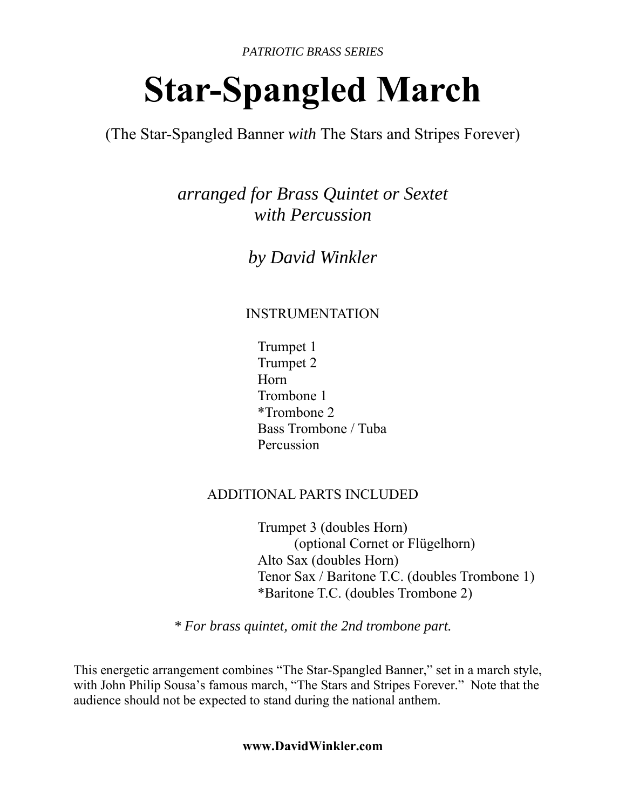*PATRIOTIC BRASS SERIES*

# **Star-Spangled March**

(The Star-Spangled Banner *with* The Stars and Stripes Forever)

*arranged for Brass Quintet or Sextet with Percussion* 

*by David Winkler* 

### INSTRUMENTATION

 Trumpet 1 Trumpet 2 Horn Trombone 1 \*Trombone 2 Bass Trombone / Tuba Percussion

#### ADDITIONAL PARTS INCLUDED

 Trumpet 3 (doubles Horn) (optional Cornet or Flügelhorn) Alto Sax (doubles Horn) Tenor Sax / Baritone T.C. (doubles Trombone 1) \*Baritone T.C. (doubles Trombone 2)

*\* For brass quintet, omit the 2nd trombone part.*

This energetic arrangement combines "The Star-Spangled Banner," set in a march style, with John Philip Sousa's famous march, "The Stars and Stripes Forever." Note that the audience should not be expected to stand during the national anthem.

**www.DavidWinkler.com**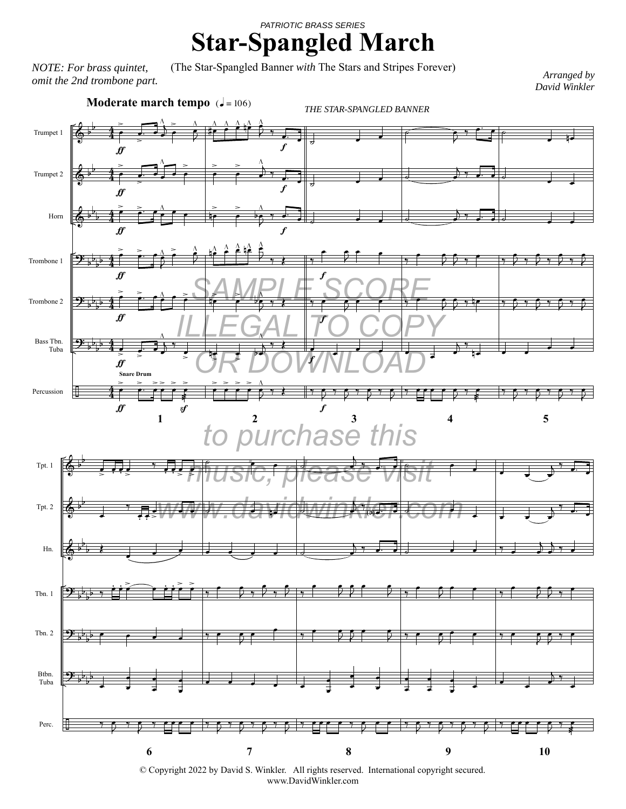## **Star-Spangled March** *PATRIOTIC BRASS SERIES*

(The Star-Spangled Banner *with* The Stars and Stripes Forever) *NOTE: For brass quintet, omit the 2nd trombone part.*

*Arranged by David Winkler* 



© Copyright 2022 by David S. Winkler. All rights reserved. International copyright secured. www.DavidWinkler.com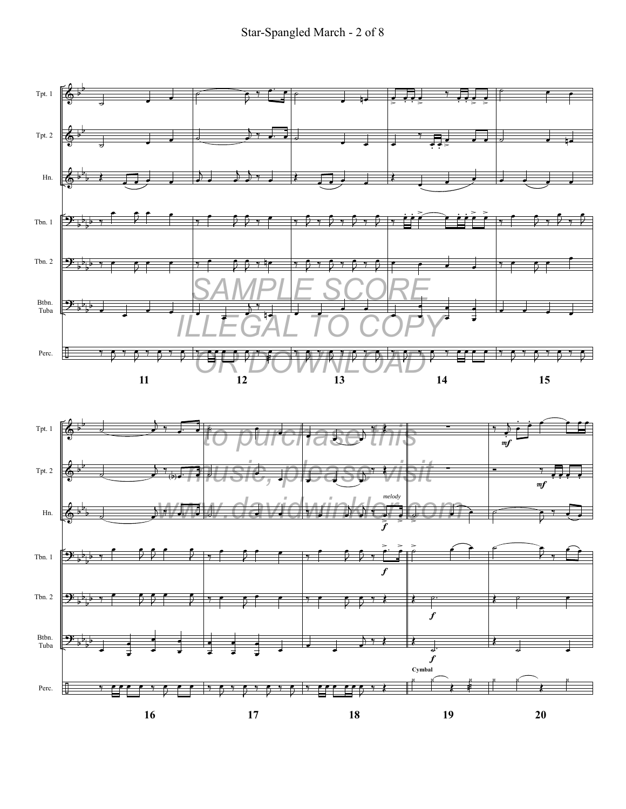

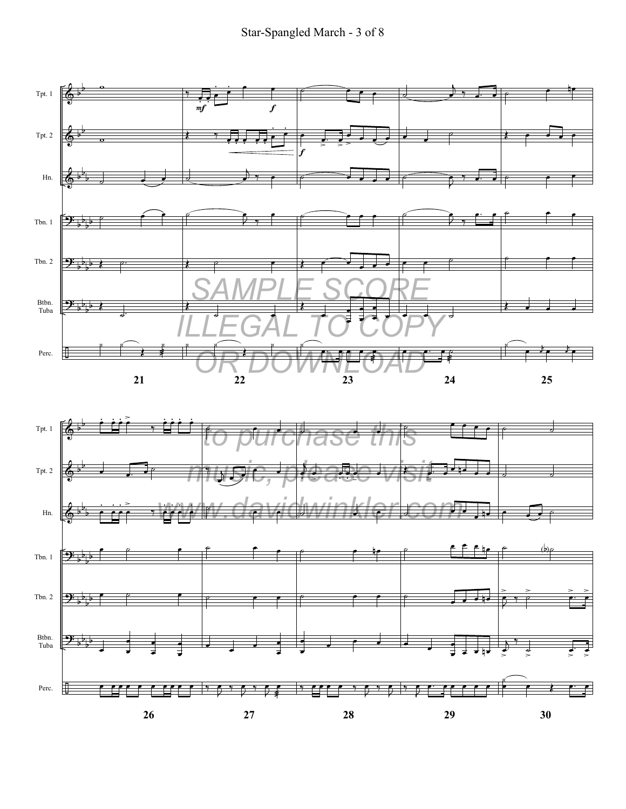

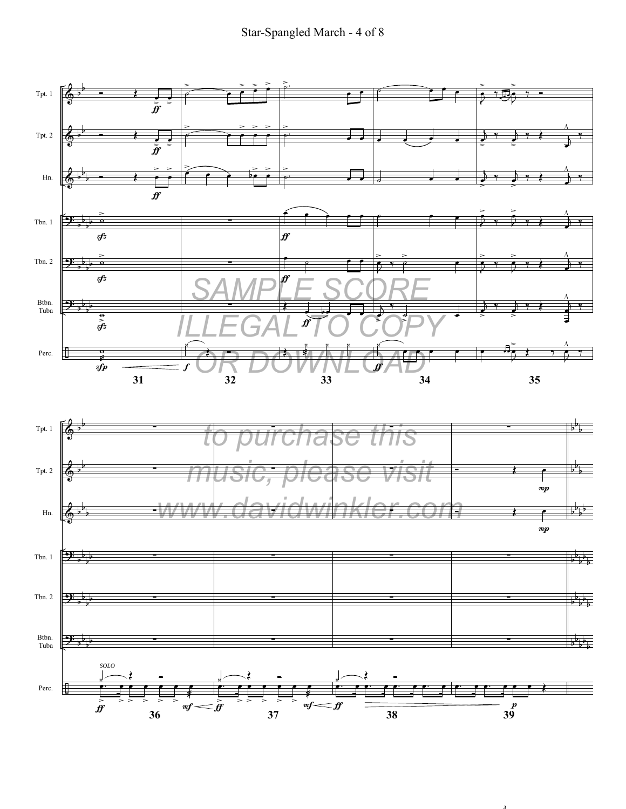

*3*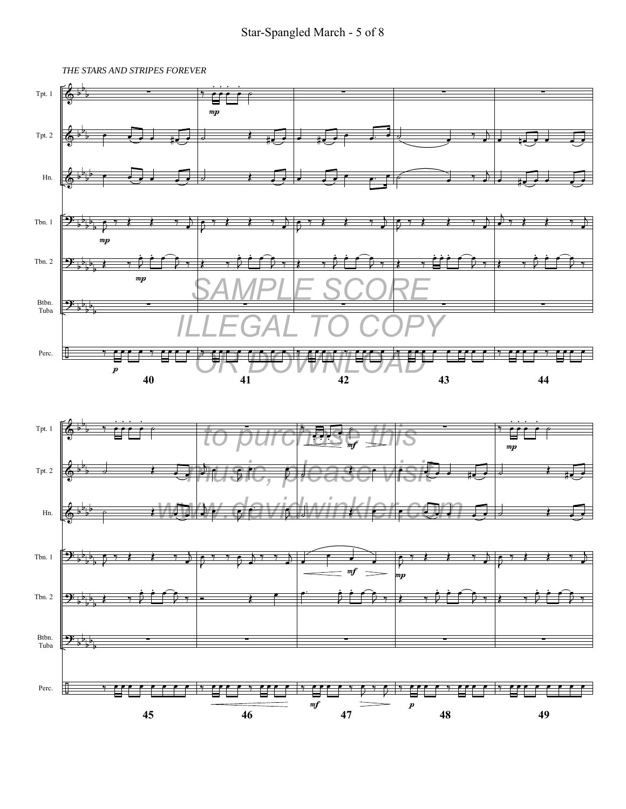#### Star-Spangled March - 5 of 8

*THE STARS AND STRIPES FOREVER*



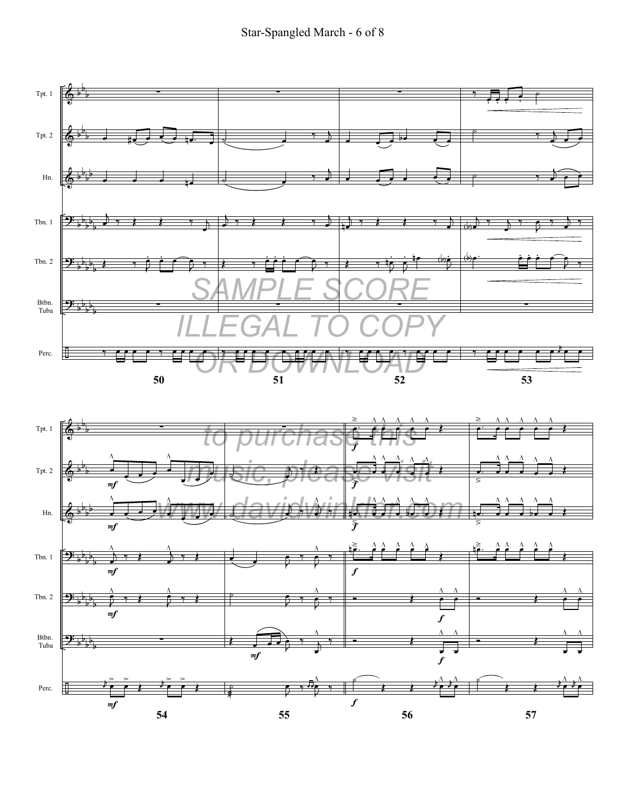

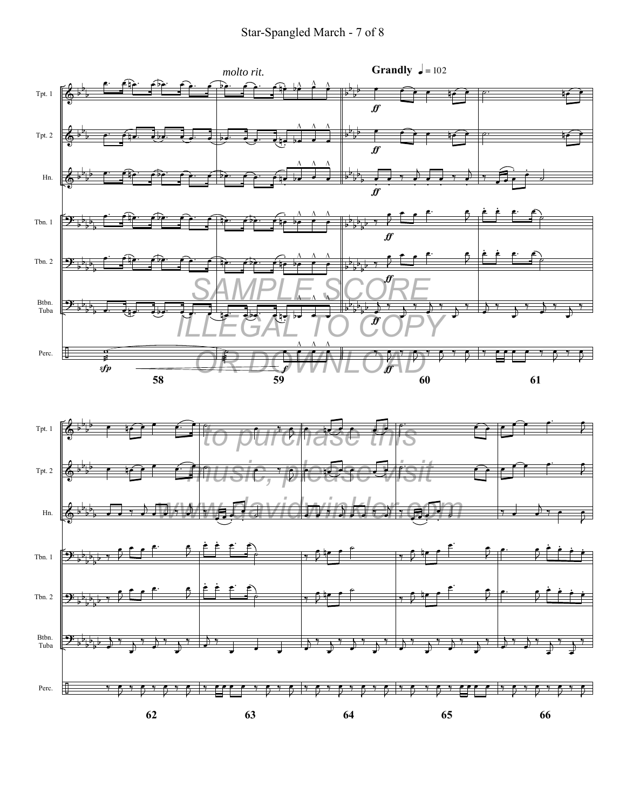Star-Spangled March - 7 of 8